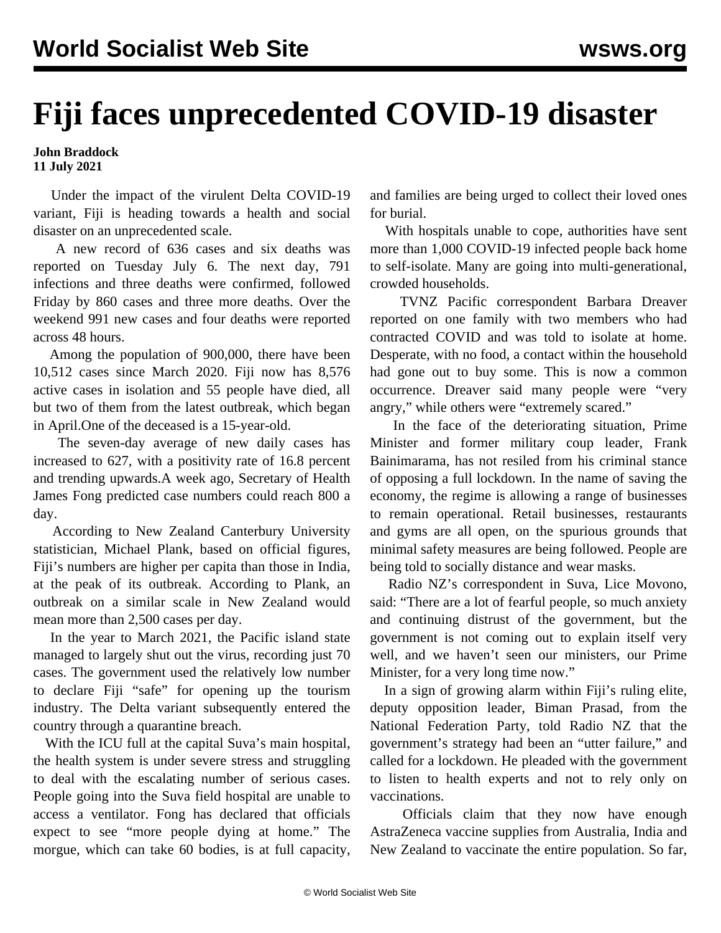## **Fiji faces unprecedented COVID-19 disaster**

## **John Braddock 11 July 2021**

 Under the impact of the virulent Delta COVID-19 variant, Fiji is heading towards a health and social disaster on an unprecedented scale.

 A new record of 636 cases and six deaths was reported on Tuesday July 6. The next day, 791 infections and three deaths were confirmed, followed Friday by 860 cases and three more deaths. Over the weekend 991 new cases and four deaths were reported across 48 hours.

 Among the population of 900,000, there have been 10,512 cases since March 2020. Fiji now has 8,576 active cases in isolation and 55 people have died, all but two of them from the latest outbreak, which began in April.One of the deceased is a 15-year-old.

 The seven-day average of new daily cases has increased to 627, with a positivity rate of 16.8 percent and trending upwards.A week ago, Secretary of Health James Fong predicted case numbers could reach 800 a day.

 According to New Zealand Canterbury University statistician, Michael Plank, based on official figures, Fiji's numbers are higher per capita than those in India, at the peak of its outbreak. According to Plank, an outbreak on a similar scale in New Zealand would mean more than 2,500 cases per day.

 In the year to March 2021, the Pacific island state managed to largely shut out the virus, recording just 70 cases. The government used the relatively low number to declare Fiji "safe" for opening up the tourism industry. The Delta variant subsequently entered the country through a quarantine breach.

 With the ICU full at the capital Suva's main hospital, the health system is under severe stress and struggling to deal with the escalating number of serious cases. People going into the Suva field hospital are unable to access a ventilator. Fong has declared that officials expect to see "more people dying at home." The morgue, which can take 60 bodies, is at full capacity, and families are being urged to collect their loved ones for burial.

 With hospitals unable to cope, authorities have sent more than 1,000 COVID-19 infected people back home to self-isolate. Many are going into multi-generational, crowded households.

 TVNZ Pacific correspondent Barbara Dreaver reported on one family with two members who had contracted COVID and was told to isolate at home. Desperate, with no food, a contact within the household had gone out to buy some. This is now a common occurrence. Dreaver said many people were "very angry," while others were "extremely scared."

 In the face of the deteriorating situation, Prime Minister and former military coup leader, Frank Bainimarama, has not resiled from his criminal stance of opposing a full lockdown. In the name of saving the economy, the regime is allowing a range of businesses to remain operational. Retail businesses, restaurants and gyms are all open, on the spurious grounds that minimal safety measures are being followed. People are being told to socially distance and wear masks.

 Radio NZ's correspondent in Suva, Lice Movono, said: "There are a lot of fearful people, so much anxiety and continuing distrust of the government, but the government is not coming out to explain itself very well, and we haven't seen our ministers, our Prime Minister, for a very long time now."

 In a sign of growing alarm within Fiji's ruling elite, deputy opposition leader, Biman Prasad, from the National Federation Party, told Radio NZ that the government's strategy had been an "utter failure," and called for a lockdown. He pleaded with the government to listen to health experts and not to rely only on vaccinations.

 Officials claim that they now have enough AstraZeneca vaccine supplies from Australia, India and New Zealand to vaccinate the entire population. So far,